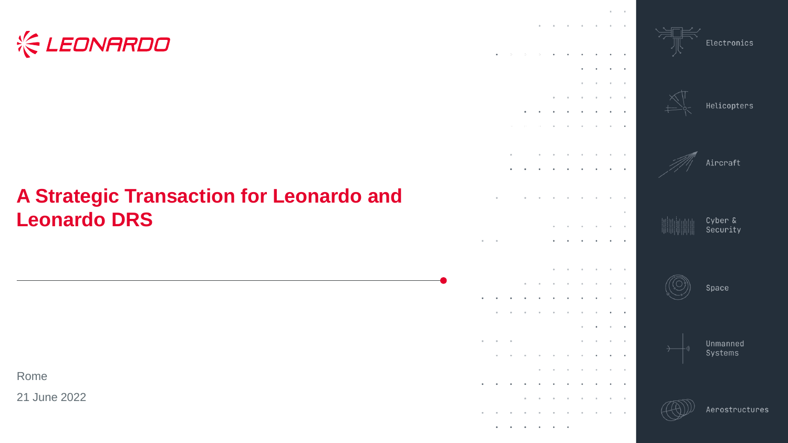# **& LEONARDO**

### **A Strategic Transaction for Leonardo and Leonardo DRS**

Rome

21 June 2022

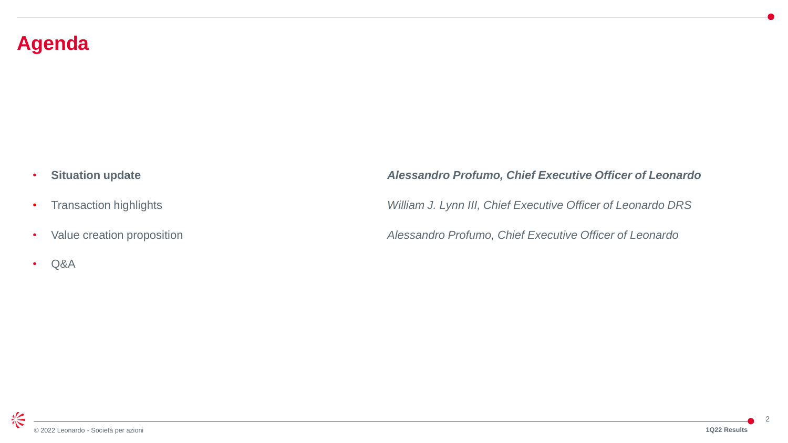#### **Agenda**

- 
- 
- 
- Q&A

#### • **Situation update** *Alessandro Profumo, Chief Executive Officer of Leonardo*

• Transaction highlights *William J. Lynn III, Chief Executive Officer of Leonardo DRS*

• Value creation proposition *Alessandro Profumo, Chief Executive Officer of Leonardo*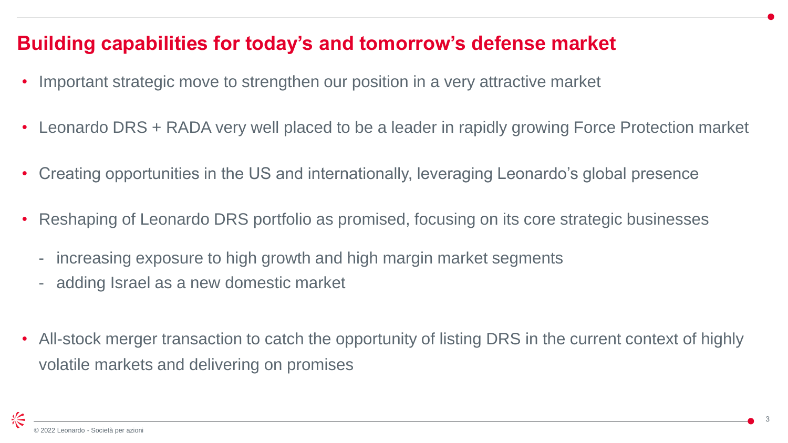#### **Building capabilities for today's and tomorrow's defense market**

- Important strategic move to strengthen our position in a very attractive market
- Leonardo DRS + RADA very well placed to be a leader in rapidly growing Force Protection market
- Creating opportunities in the US and internationally, leveraging Leonardo's global presence
- Reshaping of Leonardo DRS portfolio as promised, focusing on its core strategic businesses
	- increasing exposure to high growth and high margin market segments
	- adding Israel as a new domestic market
- All-stock merger transaction to catch the opportunity of listing DRS in the current context of highly volatile markets and delivering on promises

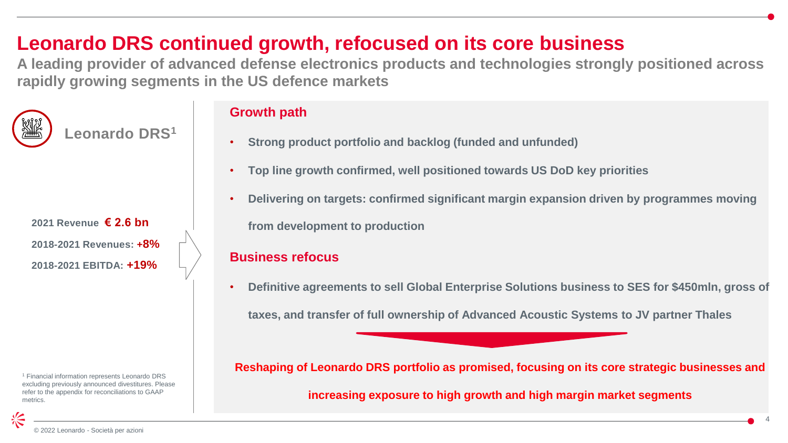### **Leonardo DRS continued growth, refocused on its core business**

**A leading provider of advanced defense electronics products and technologies strongly positioned across rapidly growing segments in the US defence markets**



**Leonardo DRS<sup>1</sup>**

**2021 Revenue € 2.6 bn 2018-2021 Revenues: +8% 2018-2021 EBITDA: +19%**

<sup>1</sup> Financial information represents Leonardo DRS excluding previously announced divestitures. Please refer to the appendix for reconciliations to GAAP metrics.

#### **Growth path**

- **Strong product portfolio and backlog (funded and unfunded)**
- **Top line growth confirmed, well positioned towards US DoD key priorities**
- **Delivering on targets: confirmed significant margin expansion driven by programmes moving**

**from development to production**

#### **Business refocus**

• **Definitive agreements to sell Global Enterprise Solutions business to SES for \$450mln, gross of** 

**taxes, and transfer of full ownership of Advanced Acoustic Systems to JV partner Thales** 

**Reshaping of Leonardo DRS portfolio as promised, focusing on its core strategic businesses and** 

**increasing exposure to high growth and high margin market segments**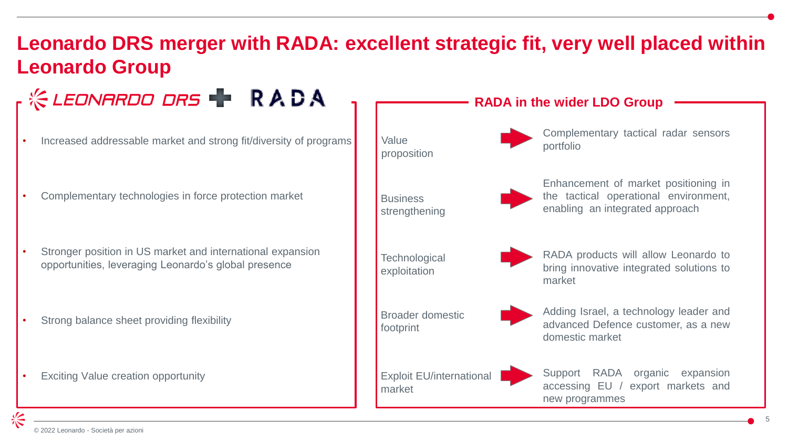## **Leonardo DRS merger with RADA: excellent strategic fit, very well placed within Leonardo Group**

**KEDNARDO DRS TRADA RADA in the wider LDO Group**  Complementary tactical radar sensors Value • Increased addressable market and strong fit/diversity of programs portfolio proposition Enhancement of market positioning in the tactical operational environment, • Complementary technologies in force protection market **Business** enabling an integrated approach strengthening Stronger position in US market and international expansion RADA products will allow Leonardo to **Technological** opportunities, leveraging Leonardo's global presence bring innovative integrated solutions to exploitation market Adding Israel, a technology leader and Broader domestic Strong balance sheet providing flexibility advanced Defence customer, as a new footprint domestic market Support RADA organic expansion Exploit EU/international **Exciting Value creation opportunity** accessing EU / export markets and marketnew programmes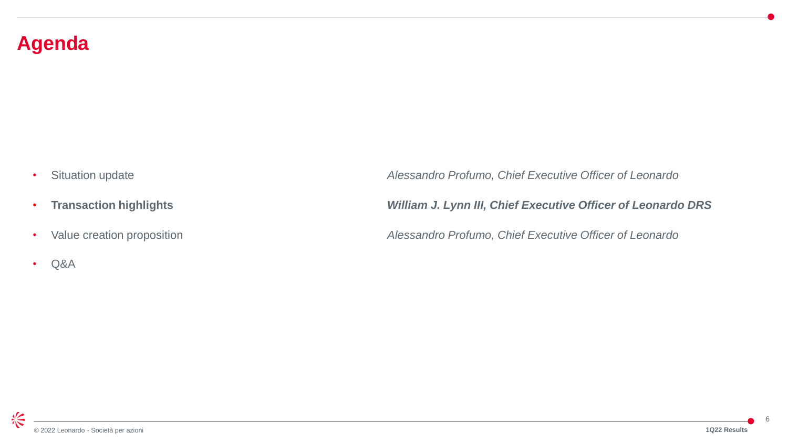#### **Agenda**

- 
- 
- 
- Q&A

• Situation update *Alessandro Profumo, Chief Executive Officer of Leonardo*

• **Transaction highlights** *William J. Lynn III, Chief Executive Officer of Leonardo DRS*

• Value creation proposition *Alessandro Profumo, Chief Executive Officer of Leonardo*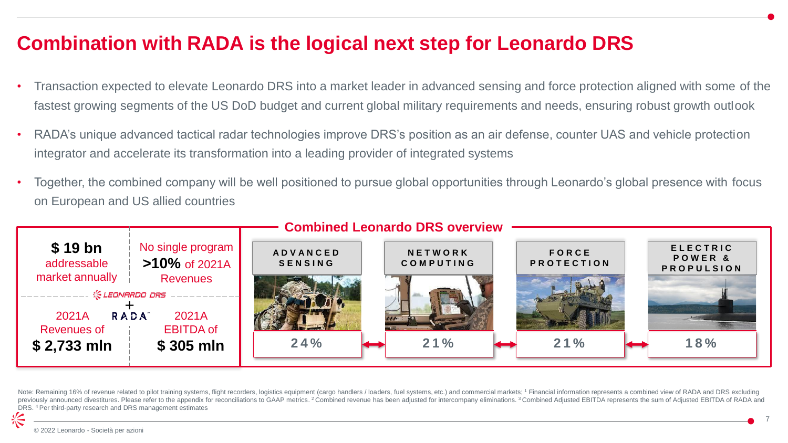#### **Combination with RADA is the logical next step for Leonardo DRS**

- Transaction expected to elevate Leonardo DRS into a market leader in advanced sensing and force protection aligned with some of the fastest growing segments of the US DoD budget and current global military requirements and needs, ensuring robust growth outlook
- RADA's unique advanced tactical radar technologies improve DRS's position as an air defense, counter UAS and vehicle protection integrator and accelerate its transformation into a leading provider of integrated systems
- Together, the combined company will be well positioned to pursue global opportunities through Leonardo's global presence with focus on European and US allied countries



Note: Remaining 16% of revenue related to pilot training systems, flight recorders, logistics equipment (cargo handlers / loaders, fuel systems, etc.) and commercial markets; 1 Financial information represents a combined v previously announced divestitures. Please refer to the appendix for reconciliations to GAAP metrics. <sup>2</sup> Combined revenue has been adjusted for intercompany eliminations. <sup>3</sup> Combined Adjusted EBITDA represents the sum of DRS. 4 Per third-party research and DRS management estimates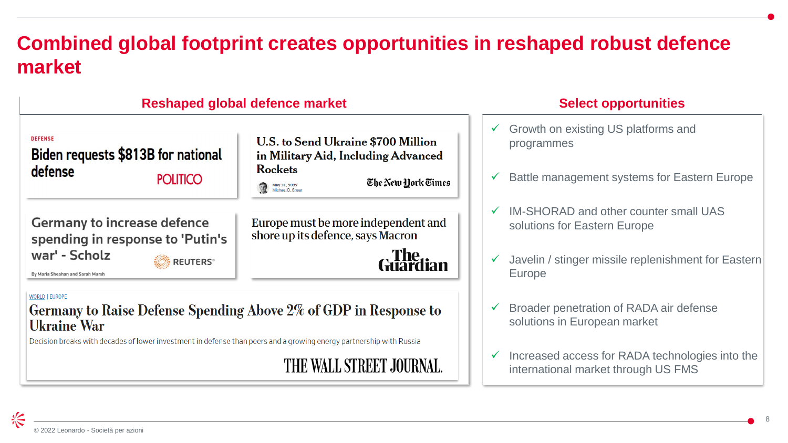### **Combined global footprint creates opportunities in reshaped robust defence market**

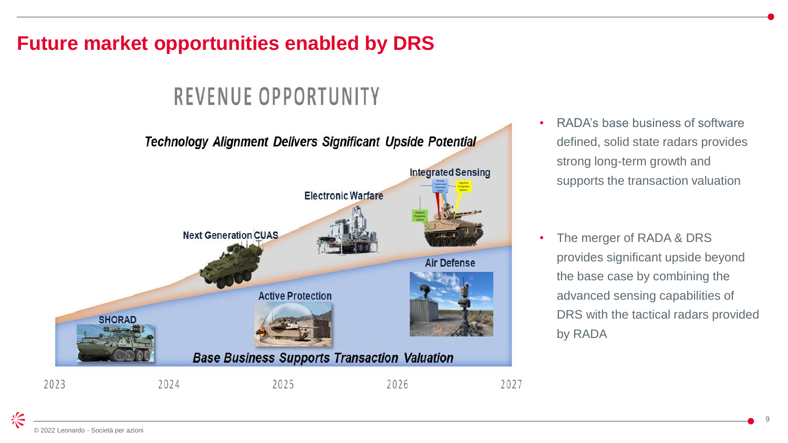### **Future market opportunities enabled by DRS**

# REVENUE OPPORTUNITY



- RADA's base business of software defined, solid state radars provides strong long-term growth and supports the transaction valuation
- The merger of RADA & DRS provides significant upside beyond the base case by combining the advanced sensing capabilities of DRS with the tactical radars provided by RADA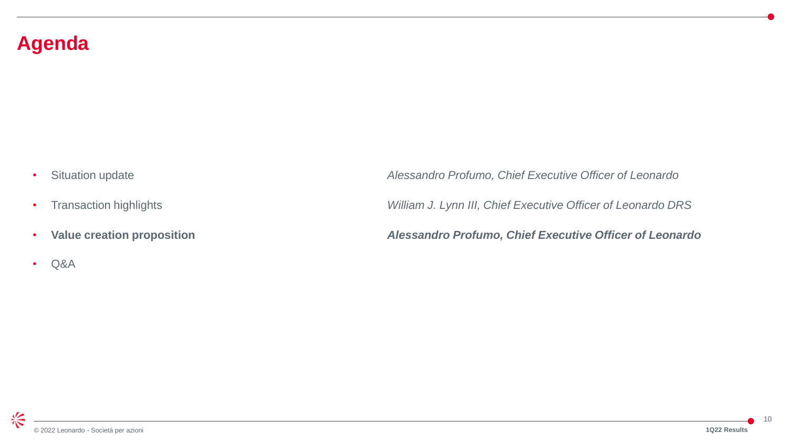#### **Agenda**

- 
- 
- 
- Q&A

• Situation update *Alessandro Profumo, Chief Executive Officer of Leonardo*

• Transaction highlights *William J. Lynn III, Chief Executive Officer of Leonardo DRS*

• **Value creation proposition** *Alessandro Profumo, Chief Executive Officer of Leonardo*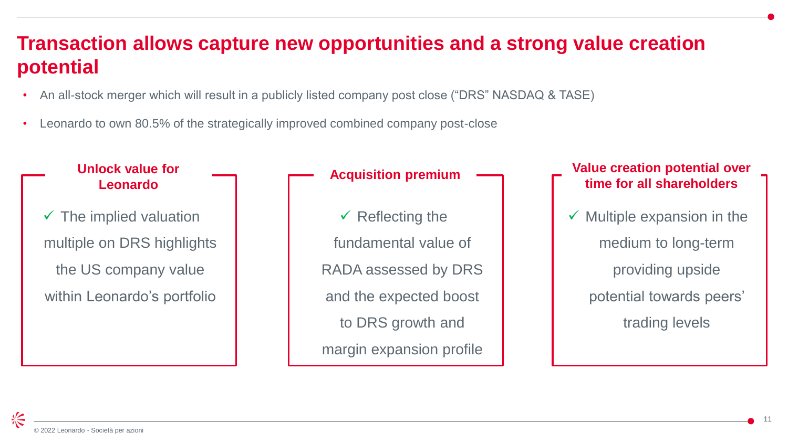#### **Transaction allows capture new opportunities and a strong value creation potential**

- An all-stock merger which will result in a publicly listed company post close ("DRS" NASDAQ & TASE)
- Leonardo to own 80.5% of the strategically improved combined company post-close

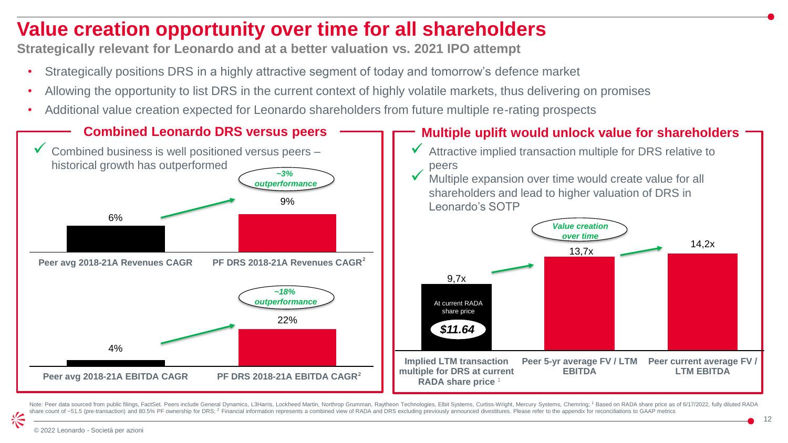### **Value creation opportunity over time for all shareholders**

**Strategically relevant for Leonardo and at a better valuation vs. 2021 IPO attempt**

- Strategically positions DRS in a highly attractive segment of today and tomorrow's defence market
- Allowing the opportunity to list DRS in the current context of highly volatile markets, thus delivering on promises
- Additional value creation expected for Leonardo shareholders from future multiple re-rating prospects



Note: Peer data sourced from public filings, FactSet. Peers include General Dynamics, L3Harris, Lockheed Martin, Northrop Grumman, Raytheon Technologies, Elbit Systems, Curtiss-Wright, Mercury Systems, Chemring; 1 Based on share count of ~51.5 (pre-transaction) and 80.5% PF ownership for DRS; <sup>2</sup> Financial information represents a combined view of RADA and DRS excluding previously announced divestitures. Please refer to the appendix for reco

长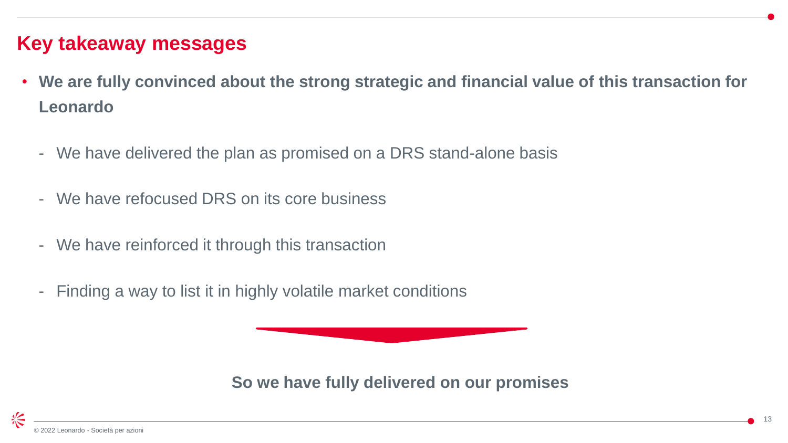#### **Key takeaway messages**

- **We are fully convinced about the strong strategic and financial value of this transaction for Leonardo**
	- We have delivered the plan as promised on a DRS stand-alone basis
	- We have refocused DRS on its core business
	- We have reinforced it through this transaction
	- Finding a way to list it in highly volatile market conditions

**So we have fully delivered on our promises**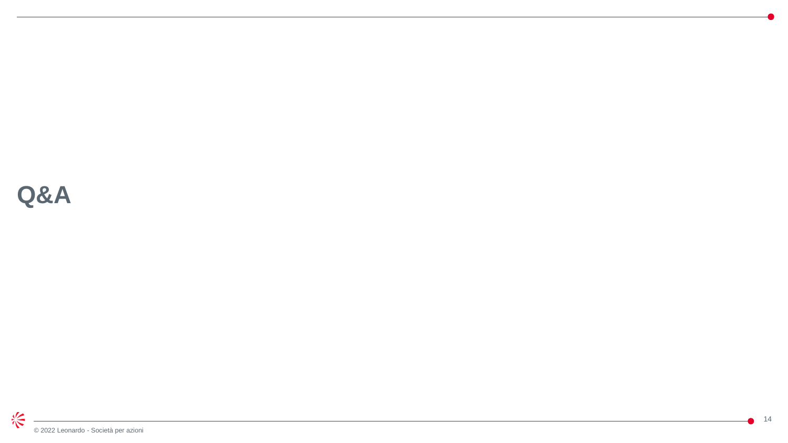# **Q&A**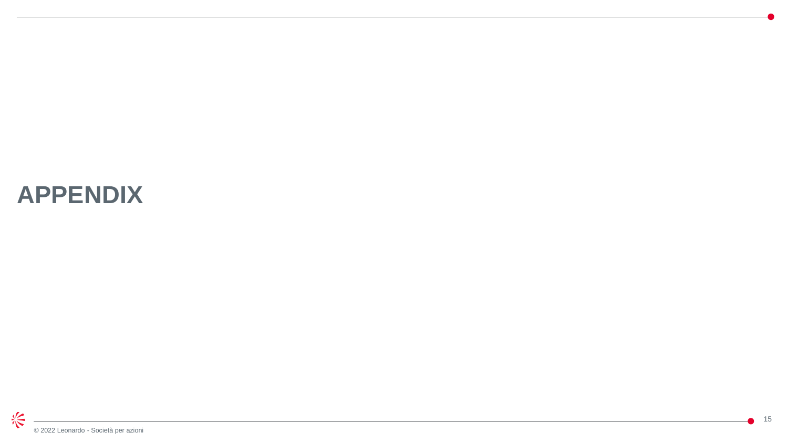# **APPENDIX**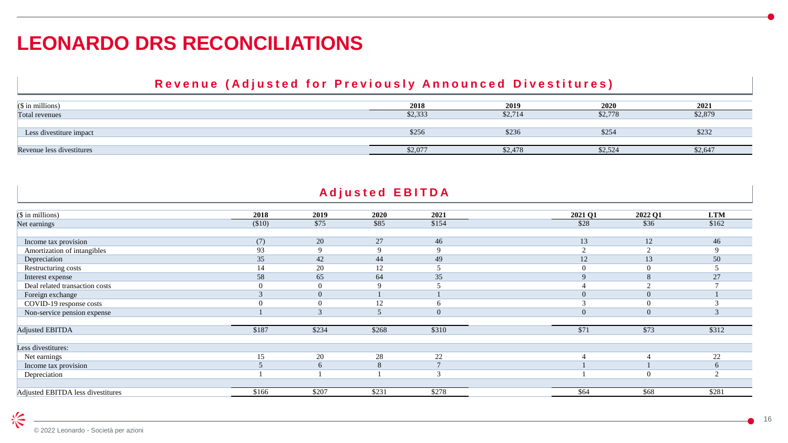### **LEONARDO DRS RECONCILIATIONS**

#### Revenue (Adjusted for Previously Announced Divestitures)

| $(S \in \mathbb{R})$ in millions) | 2018    | 2019                 | 2020    | 2021    |
|-----------------------------------|---------|----------------------|---------|---------|
| Total revenues                    | \$2,333 | $\frac{1}{2}$ , / 14 | \$2,778 | \$2,879 |
|                                   |         |                      |         |         |
| Less divestiture impact           | \$256   | \$236                | \$25<   | \$232   |
|                                   |         |                      |         |         |
| Revenue less divestitures         | \$2,077 | 32,418               | \$2,524 | \$2,647 |

#### **Adjusted EBITDA**

| $($$ in millions)                 | 2018   | 2019   | 2020  | 2021     | 2021 Q1     | 2022 Q1              | <b>LTM</b> |
|-----------------------------------|--------|--------|-------|----------|-------------|----------------------|------------|
| Net earnings                      | (\$10) | \$75   | \$85  | \$154    | \$28        | \$36                 | \$162      |
|                                   |        |        |       |          |             |                      |            |
| Income tax provision              | (7)    | 20     | 27    | 46       | 13          | 12                   | 46         |
| Amortization of intangibles       | 93     |        |       |          |             |                      |            |
| Depreciation                      | 35     | 42     | 44    | 49       | 12          | 13                   | 50         |
| Restructuring costs               |        | 20     | 12    |          |             |                      |            |
| Interest expense                  | 58     | 65     | 64    | 35       | $\mathbf Q$ | $\Omega$<br>$\delta$ | 27         |
| Deal related transaction costs    |        |        |       |          |             |                      |            |
| Foreign exchange                  |        |        |       |          | $\Omega$    | $\overline{0}$       |            |
| COVID-19 response costs           |        |        | 12    |          |             |                      |            |
| Non-service pension expense       |        | $\sim$ |       | $\theta$ | $\Omega$    | $\overline{0}$       |            |
|                                   |        |        |       |          |             |                      |            |
| <b>Adjusted EBITDA</b>            | \$187  | \$234  | \$268 | \$310    | \$71        | \$73                 | \$312      |
| Less divestitures:                |        |        |       |          |             |                      |            |
| Net earnings                      | 15     | 20     | 28    | 22       |             |                      | 22         |
| Income tax provision              |        | 6      | 8     |          |             |                      |            |
| Depreciation                      |        |        |       |          |             |                      |            |
|                                   |        |        |       |          |             |                      |            |
| Adjusted EBITDA less divestitures | \$166  | \$207  | \$231 | \$278    | \$64        | \$68                 | \$281      |

兴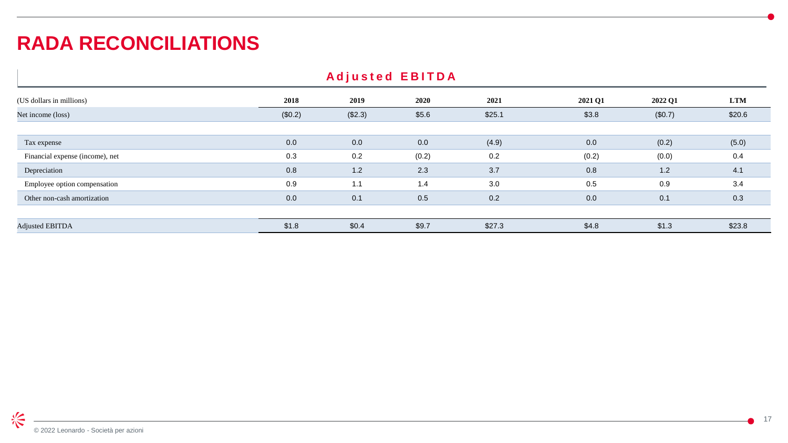### **RADA RECONCILIATIONS**

| <b>Adjusted EBITDA</b>          |         |         |       |        |         |         |            |  |  |  |  |
|---------------------------------|---------|---------|-------|--------|---------|---------|------------|--|--|--|--|
| (US dollars in millions)        | 2018    | 2019    | 2020  | 2021   | 2021 Q1 | 2022 Q1 | <b>LTM</b> |  |  |  |  |
| Net income (loss)               | (\$0.2) | (\$2.3) | \$5.6 | \$25.1 | \$3.8   | (\$0.7) | \$20.6     |  |  |  |  |
|                                 |         |         |       |        |         |         |            |  |  |  |  |
| Tax expense                     | 0.0     | 0.0     | 0.0   | (4.9)  | 0.0     | (0.2)   | (5.0)      |  |  |  |  |
| Financial expense (income), net | 0.3     | 0.2     | (0.2) | 0.2    | (0.2)   | (0.0)   | 0.4        |  |  |  |  |
| Depreciation                    | 0.8     | 1.2     | 2.3   | 3.7    | 0.8     | 1.2     | 4.1        |  |  |  |  |
| Employee option compensation    | 0.9     | 1.1     | 1.4   | 3.0    | 0.5     | 0.9     | 3.4        |  |  |  |  |
| Other non-cash amortization     | 0.0     | 0.1     | 0.5   | 0.2    | 0.0     | 0.1     | 0.3        |  |  |  |  |
|                                 |         |         |       |        |         |         |            |  |  |  |  |
| <b>Adjusted EBITDA</b>          | \$1.8   | \$0.4   | \$9.7 | \$27.3 | \$4.8   | \$1.3   | \$23.8     |  |  |  |  |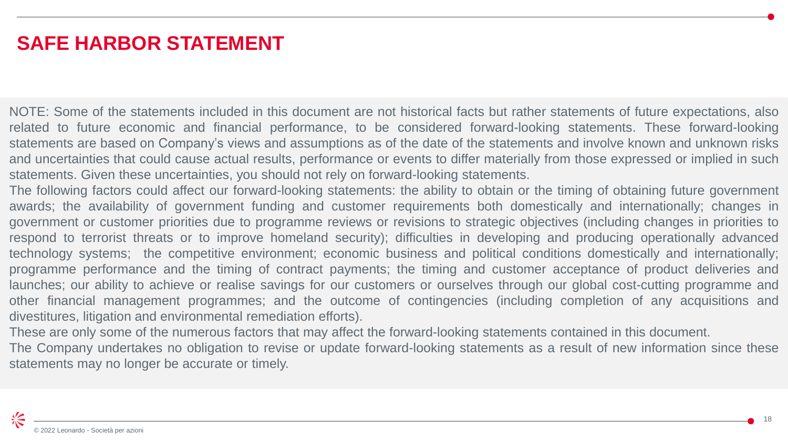### **SAFE HARBOR STATEMENT**

NOTE: Some of the statements included in this document are not historical facts but rather statements of future expectations, also related to future economic and financial performance, to be considered forward-looking statements. These forward-looking statements are based on Company's views and assumptions as of the date of the statements and involve known and unknown risks and uncertainties that could cause actual results, performance or events to differ materially from those expressed or implied in such statements. Given these uncertainties, you should not rely on forward-looking statements.

The following factors could affect our forward-looking statements: the ability to obtain or the timing of obtaining future government awards; the availability of government funding and customer requirements both domestically and internationally; changes in government or customer priorities due to programme reviews or revisions to strategic objectives (including changes in priorities to respond to terrorist threats or to improve homeland security); difficulties in developing and producing operationally advanced technology systems; the competitive environment; economic business and political conditions domestically and internationally; programme performance and the timing of contract payments; the timing and customer acceptance of product deliveries and launches; our ability to achieve or realise savings for our customers or ourselves through our global cost-cutting programme and other financial management programmes; and the outcome of contingencies (including completion of any acquisitions and divestitures, litigation and environmental remediation efforts).

These are only some of the numerous factors that may affect the forward-looking statements contained in this document.

The Company undertakes no obligation to revise or update forward-looking statements as a result of new information since these statements may no longer be accurate or timely.

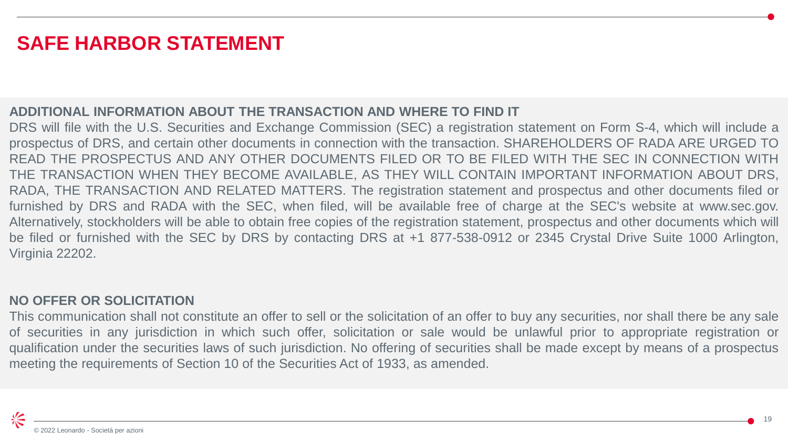### **SAFE HARBOR STATEMENT**

#### **ADDITIONAL INFORMATION ABOUT THE TRANSACTION AND WHERE TO FIND IT**

DRS will file with the U.S. Securities and Exchange Commission (SEC) a registration statement on Form S-4, which will include a prospectus of DRS, and certain other documents in connection with the transaction. SHAREHOLDERS OF RADA ARE URGED TO READ THE PROSPECTUS AND ANY OTHER DOCUMENTS FILED OR TO BE FILED WITH THE SEC IN CONNECTION WITH THE TRANSACTION WHEN THEY BECOME AVAILABLE, AS THEY WILL CONTAIN IMPORTANT INFORMATION ABOUT DRS, RADA, THE TRANSACTION AND RELATED MATTERS. The registration statement and prospectus and other documents filed or furnished by DRS and RADA with the SEC, when filed, will be available free of charge at the SEC's website at www.sec.gov. Alternatively, stockholders will be able to obtain free copies of the registration statement, prospectus and other documents which will be filed or furnished with the SEC by DRS by contacting DRS at +1 877-538-0912 or 2345 Crystal Drive Suite 1000 Arlington, Virginia 22202.

#### **NO OFFER OR SOLICITATION**

This communication shall not constitute an offer to sell or the solicitation of an offer to buy any securities, nor shall there be any sale of securities in any jurisdiction in which such offer, solicitation or sale would be unlawful prior to appropriate registration or qualification under the securities laws of such jurisdiction. No offering of securities shall be made except by means of a prospectus meeting the requirements of Section 10 of the Securities Act of 1933, as amended.